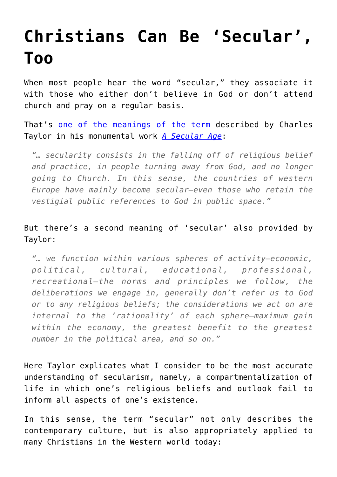## **[Christians Can Be 'Secular',](https://intellectualtakeout.org/2018/03/christians-can-be-secular-too/) [Too](https://intellectualtakeout.org/2018/03/christians-can-be-secular-too/)**

When most people hear the word "secular," they associate it with those who either don't believe in God or don't attend church and pray on a regular basis.

That's [one of the meanings of the term](https://www.intellectualtakeout.org/blog/what-secularism) described by Charles Taylor in his monumental work *[A Secular Age](http://amzn.to/2CT6sAf)*:

*"… secularity consists in the falling off of religious belief and practice, in people turning away from God, and no longer going to Church. In this sense, the countries of western Europe have mainly become secular—even those who retain the vestigial public references to God in public space."*

## But there's a second meaning of 'secular' also provided by Taylor:

*"… we function within various spheres of activity—economic, political, cultural, educational, professional, recreational—the norms and principles we follow, the deliberations we engage in, generally don't refer us to God or to any religious beliefs; the considerations we act on are internal to the 'rationality' of each sphere—maximum gain within the economy, the greatest benefit to the greatest number in the political area, and so on."*

Here Taylor explicates what I consider to be the most accurate understanding of secularism, namely, a compartmentalization of life in which one's religious beliefs and outlook fail to inform all aspects of one's existence.

In this sense, the term "secular" not only describes the contemporary culture, but is also appropriately applied to many Christians in the Western world today: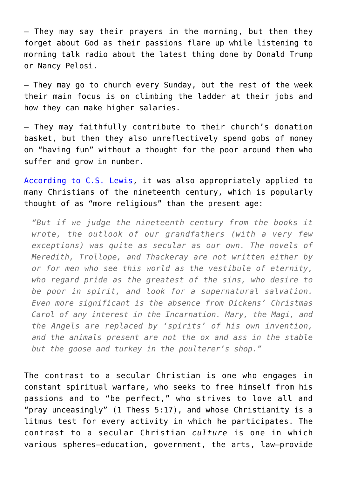– They may say their prayers in the morning, but then they forget about God as their passions flare up while listening to morning talk radio about the latest thing done by Donald Trump or Nancy Pelosi.

– They may go to church every Sunday, but the rest of the week their main focus is on climbing the ladder at their jobs and how they can make higher salaries.

– They may faithfully contribute to their church's donation basket, but then they also unreflectively spend gobs of money on "having fun" without a thought for the poor around them who suffer and grow in number.

[According to C.S. Lewis,](http://amzn.to/2F8EFSE) it was also appropriately applied to many Christians of the nineteenth century, which is popularly thought of as "more religious" than the present age:

*"But if we judge the nineteenth century from the books it wrote, the outlook of our grandfathers (with a very few exceptions) was quite as secular as our own. The novels of Meredith, Trollope, and Thackeray are not written either by or for men who see this world as the vestibule of eternity, who regard pride as the greatest of the sins, who desire to be poor in spirit, and look for a supernatural salvation. Even more significant is the absence from Dickens' Christmas Carol of any interest in the Incarnation. Mary, the Magi, and the Angels are replaced by 'spirits' of his own invention, and the animals present are not the ox and ass in the stable but the goose and turkey in the poulterer's shop."*

The contrast to a secular Christian is one who engages in constant spiritual warfare, who seeks to free himself from his passions and to "be perfect," who strives to love all and "pray unceasingly" (1 Thess 5:17), and whose Christianity is a litmus test for every activity in which he participates. The contrast to a secular Christian *culture* is one in which various spheres—education, government, the arts, law—provide